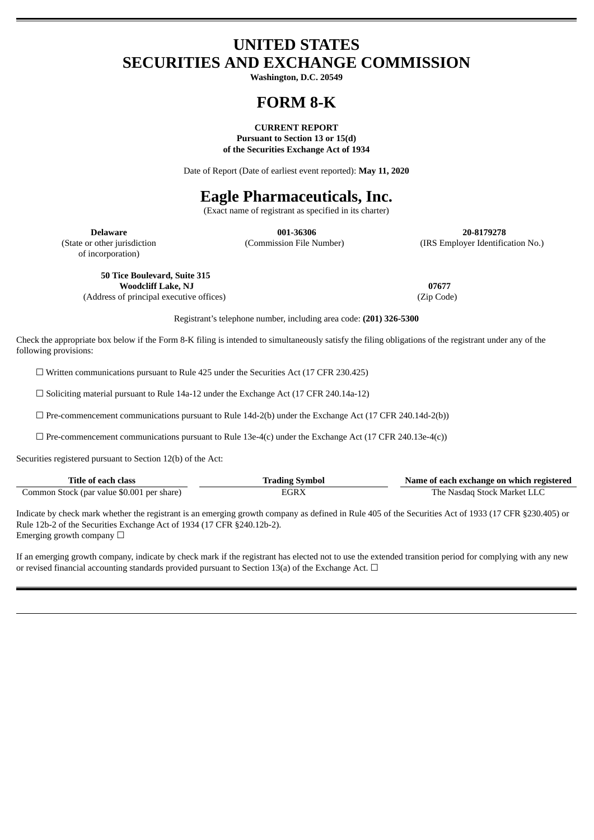# **UNITED STATES SECURITIES AND EXCHANGE COMMISSION**

**Washington, D.C. 20549**

# **FORM 8-K**

#### **CURRENT REPORT Pursuant to Section 13 or 15(d) of the Securities Exchange Act of 1934**

Date of Report (Date of earliest event reported): **May 11, 2020**

# **Eagle Pharmaceuticals, Inc.**

(Exact name of registrant as specified in its charter)

of incorporation)

**Delaware 001-36306 20-8179278** (State or other jurisdiction (Commission File Number) (IRS Employer Identification No.)

**50 Tice Boulevard, Suite 315 Woodcliff Lake, NJ 07677**

(Address of principal executive offices) (Zip Code)

Registrant's telephone number, including area code: **(201) 326-5300**

Check the appropriate box below if the Form 8-K filing is intended to simultaneously satisfy the filing obligations of the registrant under any of the following provisions:

 $\Box$  Written communications pursuant to Rule 425 under the Securities Act (17 CFR 230.425)

☐ Soliciting material pursuant to Rule 14a-12 under the Exchange Act (17 CFR 240.14a-12)

 $\Box$  Pre-commencement communications pursuant to Rule 14d-2(b) under the Exchange Act (17 CFR 240.14d-2(b))

 $\Box$  Pre-commencement communications pursuant to Rule 13e-4(c) under the Exchange Act (17 CFR 240.13e-4(c))

Securities registered pursuant to Section 12(b) of the Act:

| Title of each .<br>class                   | t each exchange on which registered<br>Name of |
|--------------------------------------------|------------------------------------------------|
| Common Stock (par value \$0.001 per share) | i Stock Market I.I<br>Nasdad                   |

Indicate by check mark whether the registrant is an emerging growth company as defined in Rule 405 of the Securities Act of 1933 (17 CFR §230.405) or Rule 12b-2 of the Securities Exchange Act of 1934 (17 CFR §240.12b-2). Emerging growth company  $\Box$ 

If an emerging growth company, indicate by check mark if the registrant has elected not to use the extended transition period for complying with any new or revised financial accounting standards provided pursuant to Section 13(a) of the Exchange Act.  $\Box$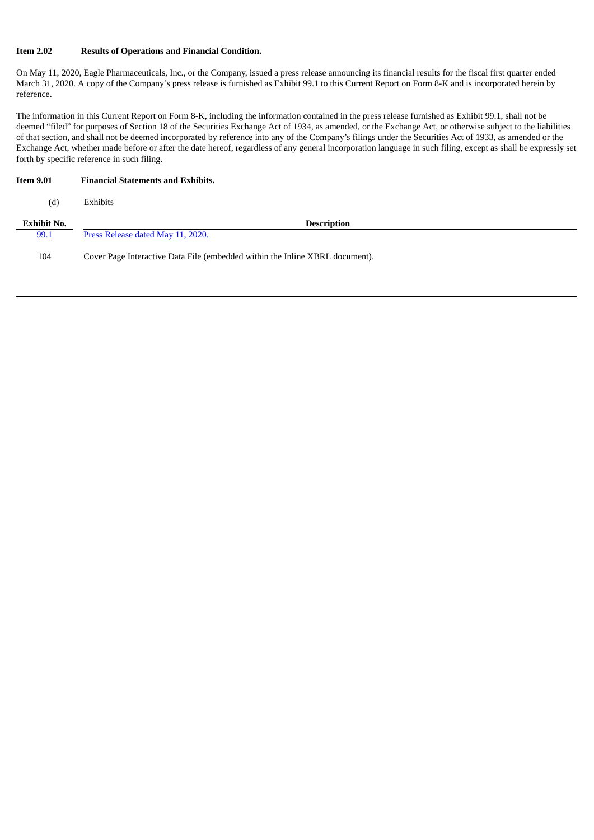# **Item 2.02 Results of Operations and Financial Condition.**

On May 11, 2020, Eagle Pharmaceuticals, Inc., or the Company, issued a press release announcing its financial results for the fiscal first quarter ended March 31, 2020. A copy of the Company's press release is furnished as Exhibit 99.1 to this Current Report on Form 8-K and is incorporated herein by reference.

The information in this Current Report on Form 8-K, including the information contained in the press release furnished as Exhibit 99.1, shall not be deemed "filed" for purposes of Section 18 of the Securities Exchange Act of 1934, as amended, or the Exchange Act, or otherwise subject to the liabilities of that section, and shall not be deemed incorporated by reference into any of the Company's filings under the Securities Act of 1933, as amended or the Exchange Act, whether made before or after the date hereof, regardless of any general incorporation language in such filing, except as shall be expressly set forth by specific reference in such filing.

# **Item 9.01 Financial Statements and Exhibits.**

(d) Exhibits

| <b>Exhibit No.</b> | <b>Description</b>                                                           |
|--------------------|------------------------------------------------------------------------------|
| 99.1               | Press Release dated May 11, 2020.                                            |
| 104                | Cover Page Interactive Data File (embedded within the Inline XBRL document). |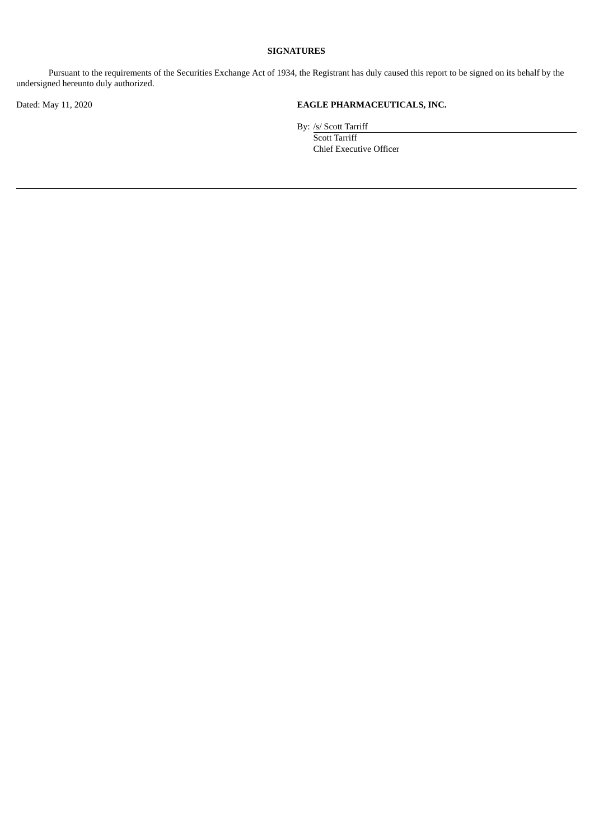# **SIGNATURES**

Pursuant to the requirements of the Securities Exchange Act of 1934, the Registrant has duly caused this report to be signed on its behalf by the undersigned hereunto duly authorized.

# Dated: May 11, 2020 **EAGLE PHARMACEUTICALS, INC.**

By: /s/ Scott Tarriff

Scott Tarriff Chief Executive Officer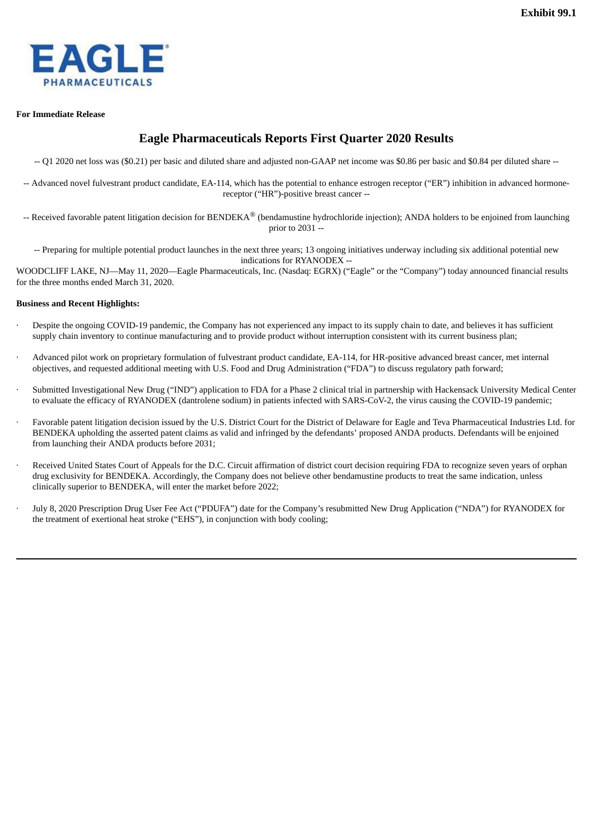<span id="page-3-0"></span>

#### **For Immediate Release**

# **Eagle Pharmaceuticals Reports First Quarter 2020 Results**

- -- Q1 2020 net loss was (\$0.21) per basic and diluted share and adjusted non-GAAP net income was \$0.86 per basic and \$0.84 per diluted share --
- -- Advanced novel fulvestrant product candidate, EA-114, which has the potential to enhance estrogen receptor ("ER") inhibition in advanced hormonereceptor ("HR")-positive breast cancer --
- -- Received favorable patent litigation decision for BENDEKA® (bendamustine hydrochloride injection); ANDA holders to be enjoined from launching prior to 2031 --
	- -- Preparing for multiple potential product launches in the next three years; 13 ongoing initiatives underway including six additional potential new indications for RYANODEX --

WOODCLIFF LAKE, NJ—May 11, 2020—Eagle Pharmaceuticals, Inc. (Nasdaq: EGRX) ("Eagle" or the "Company") today announced financial results for the three months ended March 31, 2020.

# **Business and Recent Highlights:**

- Despite the ongoing COVID-19 pandemic, the Company has not experienced any impact to its supply chain to date, and believes it has sufficient supply chain inventory to continue manufacturing and to provide product without interruption consistent with its current business plan;
- · Advanced pilot work on proprietary formulation of fulvestrant product candidate, EA-114, for HR-positive advanced breast cancer, met internal objectives, and requested additional meeting with U.S. Food and Drug Administration ("FDA") to discuss regulatory path forward;
- Submitted Investigational New Drug ("IND") application to FDA for a Phase 2 clinical trial in partnership with Hackensack University Medical Center to evaluate the efficacy of RYANODEX (dantrolene sodium) in patients infected with SARS-CoV-2, the virus causing the COVID-19 pandemic;
- Favorable patent litigation decision issued by the U.S. District Court for the District of Delaware for Eagle and Teva Pharmaceutical Industries Ltd. for BENDEKA upholding the asserted patent claims as valid and infringed by the defendants' proposed ANDA products. Defendants will be enjoined from launching their ANDA products before 2031;
- Received United States Court of Appeals for the D.C. Circuit affirmation of district court decision requiring FDA to recognize seven years of orphan drug exclusivity for BENDEKA. Accordingly, the Company does not believe other bendamustine products to treat the same indication, unless clinically superior to BENDEKA, will enter the market before 2022;
- July 8, 2020 Prescription Drug User Fee Act ("PDUFA") date for the Company's resubmitted New Drug Application ("NDA") for RYANODEX for the treatment of exertional heat stroke ("EHS"), in conjunction with body cooling;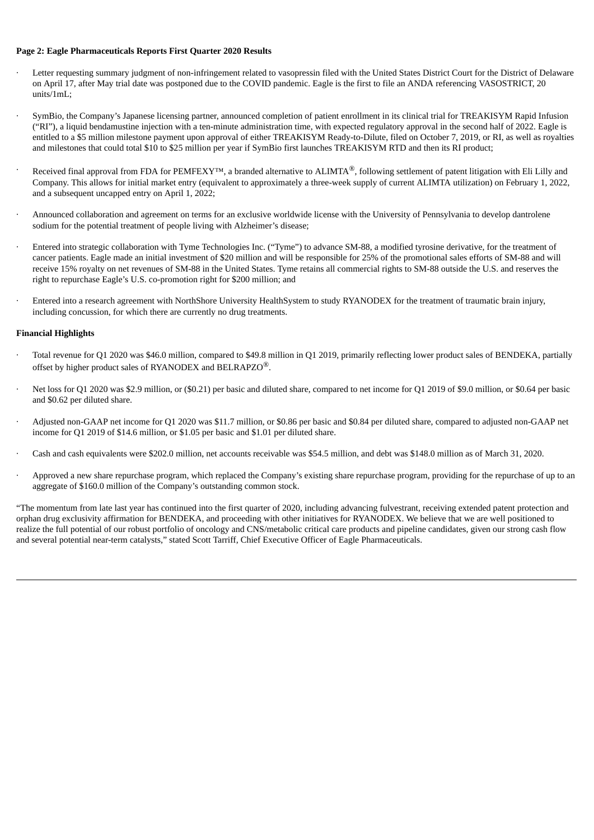#### **Page 2: Eagle Pharmaceuticals Reports First Quarter 2020 Results**

- Letter requesting summary judgment of non-infringement related to vasopressin filed with the United States District Court for the District of Delaware on April 17, after May trial date was postponed due to the COVID pandemic. Eagle is the first to file an ANDA referencing VASOSTRICT, 20 units/1mL;
- · SymBio, the Company's Japanese licensing partner, announced completion of patient enrollment in its clinical trial for TREAKISYM Rapid Infusion ("RI"), a liquid bendamustine injection with a ten-minute administration time, with expected regulatory approval in the second half of 2022. Eagle is entitled to a \$5 million milestone payment upon approval of either TREAKISYM Ready-to-Dilute, filed on October 7, 2019, or RI, as well as royalties and milestones that could total \$10 to \$25 million per year if SymBio first launches TREAKISYM RTD and then its RI product;
- Received final approval from FDA for PEMFEXY<sup>™</sup>, a branded alternative to ALIMTA<sup>®</sup>, following settlement of patent litigation with Eli Lilly and Company. This allows for initial market entry (equivalent to approximately a three-week supply of current ALIMTA utilization) on February 1, 2022, and a subsequent uncapped entry on April 1, 2022;
- · Announced collaboration and agreement on terms for an exclusive worldwide license with the University of Pennsylvania to develop dantrolene sodium for the potential treatment of people living with Alzheimer's disease;
- · Entered into strategic collaboration with Tyme Technologies Inc. ("Tyme") to advance SM-88, a modified tyrosine derivative, for the treatment of cancer patients. Eagle made an initial investment of \$20 million and will be responsible for 25% of the promotional sales efforts of SM-88 and will receive 15% royalty on net revenues of SM-88 in the United States. Tyme retains all commercial rights to SM-88 outside the U.S. and reserves the right to repurchase Eagle's U.S. co-promotion right for \$200 million; and
- · Entered into a research agreement with NorthShore University HealthSystem to study RYANODEX for the treatment of traumatic brain injury, including concussion, for which there are currently no drug treatments.

#### **Financial Highlights**

- · Total revenue for Q1 2020 was \$46.0 million, compared to \$49.8 million in Q1 2019, primarily reflecting lower product sales of BENDEKA, partially offset by higher product sales of RYANODEX and BELRAPZO $^{\circledR}$ .
- Net loss for O1 2020 was \$2.9 million, or (\$0.21) per basic and diluted share, compared to net income for O1 2019 of \$9.0 million, or \$0.64 per basic and \$0.62 per diluted share.
- · Adjusted non-GAAP net income for Q1 2020 was \$11.7 million, or \$0.86 per basic and \$0.84 per diluted share, compared to adjusted non-GAAP net income for Q1 2019 of \$14.6 million, or \$1.05 per basic and \$1.01 per diluted share.
- · Cash and cash equivalents were \$202.0 million, net accounts receivable was \$54.5 million, and debt was \$148.0 million as of March 31, 2020.
- · Approved a new share repurchase program, which replaced the Company's existing share repurchase program, providing for the repurchase of up to an aggregate of \$160.0 million of the Company's outstanding common stock.

"The momentum from late last year has continued into the first quarter of 2020, including advancing fulvestrant, receiving extended patent protection and orphan drug exclusivity affirmation for BENDEKA, and proceeding with other initiatives for RYANODEX. We believe that we are well positioned to realize the full potential of our robust portfolio of oncology and CNS/metabolic critical care products and pipeline candidates, given our strong cash flow and several potential near-term catalysts," stated Scott Tarriff, Chief Executive Officer of Eagle Pharmaceuticals.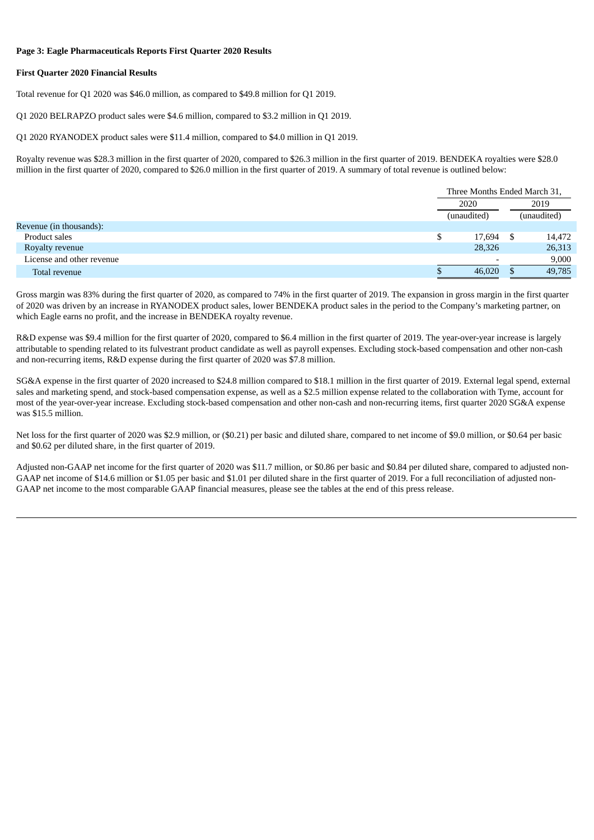#### **Page 3: Eagle Pharmaceuticals Reports First Quarter 2020 Results**

#### **First Quarter 2020 Financial Results**

Total revenue for Q1 2020 was \$46.0 million, as compared to \$49.8 million for Q1 2019.

Q1 2020 BELRAPZO product sales were \$4.6 million, compared to \$3.2 million in Q1 2019.

Q1 2020 RYANODEX product sales were \$11.4 million, compared to \$4.0 million in Q1 2019.

Royalty revenue was \$28.3 million in the first quarter of 2020, compared to \$26.3 million in the first quarter of 2019. BENDEKA royalties were \$28.0 million in the first quarter of 2020, compared to \$26.0 million in the first quarter of 2019. A summary of total revenue is outlined below:

|                           |  | Three Months Ended March 31, |    |             |  |
|---------------------------|--|------------------------------|----|-------------|--|
|                           |  | 2020<br>(unaudited)          |    | 2019        |  |
|                           |  |                              |    | (unaudited) |  |
| Revenue (in thousands):   |  |                              |    |             |  |
| Product sales             |  | 17,694                       | -S | 14,472      |  |
| Royalty revenue           |  | 28,326                       |    | 26,313      |  |
| License and other revenue |  | $\overline{\phantom{0}}$     |    | 9,000       |  |
| Total revenue             |  | 46,020                       |    | 49,785      |  |

Gross margin was 83% during the first quarter of 2020, as compared to 74% in the first quarter of 2019. The expansion in gross margin in the first quarter of 2020 was driven by an increase in RYANODEX product sales, lower BENDEKA product sales in the period to the Company's marketing partner, on which Eagle earns no profit, and the increase in BENDEKA royalty revenue.

R&D expense was \$9.4 million for the first quarter of 2020, compared to \$6.4 million in the first quarter of 2019. The year-over-year increase is largely attributable to spending related to its fulvestrant product candidate as well as payroll expenses. Excluding stock-based compensation and other non-cash and non-recurring items, R&D expense during the first quarter of 2020 was \$7.8 million.

SG&A expense in the first quarter of 2020 increased to \$24.8 million compared to \$18.1 million in the first quarter of 2019. External legal spend, external sales and marketing spend, and stock-based compensation expense, as well as a \$2.5 million expense related to the collaboration with Tyme, account for most of the year-over-year increase. Excluding stock-based compensation and other non-cash and non-recurring items, first quarter 2020 SG&A expense was \$15.5 million.

Net loss for the first quarter of 2020 was \$2.9 million, or (\$0.21) per basic and diluted share, compared to net income of \$9.0 million, or \$0.64 per basic and \$0.62 per diluted share, in the first quarter of 2019.

Adjusted non-GAAP net income for the first quarter of 2020 was \$11.7 million, or \$0.86 per basic and \$0.84 per diluted share, compared to adjusted non-GAAP net income of \$14.6 million or \$1.05 per basic and \$1.01 per diluted share in the first quarter of 2019. For a full reconciliation of adjusted non-GAAP net income to the most comparable GAAP financial measures, please see the tables at the end of this press release.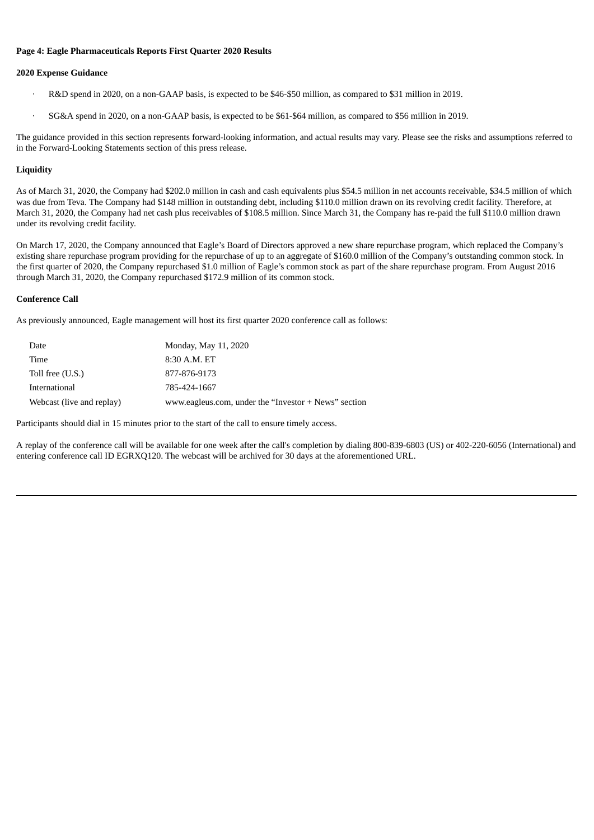#### **Page 4: Eagle Pharmaceuticals Reports First Quarter 2020 Results**

#### **2020 Expense Guidance**

- · R&D spend in 2020, on a non-GAAP basis, is expected to be \$46-\$50 million, as compared to \$31 million in 2019.
- · SG&A spend in 2020, on a non-GAAP basis, is expected to be \$61-\$64 million, as compared to \$56 million in 2019.

The guidance provided in this section represents forward-looking information, and actual results may vary. Please see the risks and assumptions referred to in the Forward-Looking Statements section of this press release.

#### **Liquidity**

As of March 31, 2020, the Company had \$202.0 million in cash and cash equivalents plus \$54.5 million in net accounts receivable, \$34.5 million of which was due from Teva. The Company had \$148 million in outstanding debt, including \$110.0 million drawn on its revolving credit facility. Therefore, at March 31, 2020, the Company had net cash plus receivables of \$108.5 million. Since March 31, the Company has re-paid the full \$110.0 million drawn under its revolving credit facility.

On March 17, 2020, the Company announced that Eagle's Board of Directors approved a new share repurchase program, which replaced the Company's existing share repurchase program providing for the repurchase of up to an aggregate of \$160.0 million of the Company's outstanding common stock. In the first quarter of 2020, the Company repurchased \$1.0 million of Eagle's common stock as part of the share repurchase program. From August 2016 through March 31, 2020, the Company repurchased \$172.9 million of its common stock.

#### **Conference Call**

As previously announced, Eagle management will host its first quarter 2020 conference call as follows:

| Date                      | Monday, May 11, 2020                                 |
|---------------------------|------------------------------------------------------|
| Time                      | 8:30 A.M. ET                                         |
| Toll free (U.S.)          | 877-876-9173                                         |
| International             | 785-424-1667                                         |
| Webcast (live and replay) | www.eagleus.com, under the "Investor + News" section |

Participants should dial in 15 minutes prior to the start of the call to ensure timely access.

A replay of the conference call will be available for one week after the call's completion by dialing 800-839-6803 (US) or 402-220-6056 (International) and entering conference call ID EGRXQ120. The webcast will be archived for 30 days at the aforementioned URL.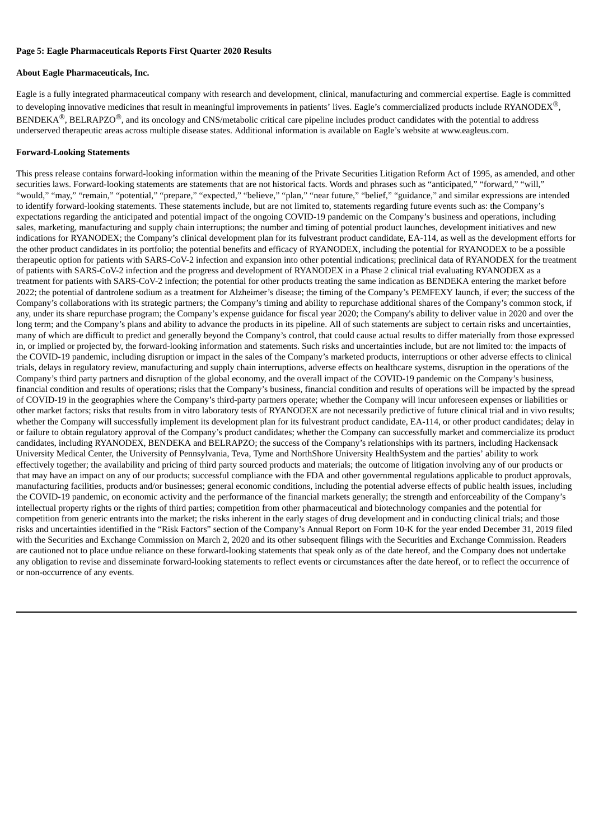#### **Page 5: Eagle Pharmaceuticals Reports First Quarter 2020 Results**

#### **About Eagle Pharmaceuticals, Inc.**

Eagle is a fully integrated pharmaceutical company with research and development, clinical, manufacturing and commercial expertise. Eagle is committed to developing innovative medicines that result in meaningful improvements in patients' lives. Eagle's commercialized products include RYANODEX $^{\circledR},$  $\rm BENDEKA^{\circledR}, \rm BELRAPZO^{\circledR},$  and its oncology and CNS/metabolic critical care pipeline includes product candidates with the potential to address underserved therapeutic areas across multiple disease states. Additional information is available on Eagle's website at www.eagleus.com.

#### **Forward-Looking Statements**

This press release contains forward-looking information within the meaning of the Private Securities Litigation Reform Act of 1995, as amended, and other securities laws. Forward-looking statements are statements that are not historical facts. Words and phrases such as "anticipated," "forward," "will," "would," "may," "remain," "potential," "prepare," "expected," "believe," "plan," "near future," "belief," "guidance," and similar expressions are intended to identify forward-looking statements. These statements include, but are not limited to, statements regarding future events such as: the Company's expectations regarding the anticipated and potential impact of the ongoing COVID-19 pandemic on the Company's business and operations, including sales, marketing, manufacturing and supply chain interruptions; the number and timing of potential product launches, development initiatives and new indications for RYANODEX; the Company's clinical development plan for its fulvestrant product candidate, EA-114, as well as the development efforts for the other product candidates in its portfolio; the potential benefits and efficacy of RYANODEX, including the potential for RYANODEX to be a possible therapeutic option for patients with SARS-CoV-2 infection and expansion into other potential indications; preclinical data of RYANODEX for the treatment of patients with SARS-CoV-2 infection and the progress and development of RYANODEX in a Phase 2 clinical trial evaluating RYANODEX as a treatment for patients with SARS-CoV-2 infection; the potential for other products treating the same indication as BENDEKA entering the market before 2022; the potential of dantrolene sodium as a treatment for Alzheimer's disease; the timing of the Company's PEMFEXY launch, if ever; the success of the Company's collaborations with its strategic partners; the Company's timing and ability to repurchase additional shares of the Company's common stock, if any, under its share repurchase program; the Company's expense guidance for fiscal year 2020; the Company's ability to deliver value in 2020 and over the long term; and the Company's plans and ability to advance the products in its pipeline. All of such statements are subject to certain risks and uncertainties, many of which are difficult to predict and generally beyond the Company's control, that could cause actual results to differ materially from those expressed in, or implied or projected by, the forward-looking information and statements. Such risks and uncertainties include, but are not limited to: the impacts of the COVID-19 pandemic, including disruption or impact in the sales of the Company's marketed products, interruptions or other adverse effects to clinical trials, delays in regulatory review, manufacturing and supply chain interruptions, adverse effects on healthcare systems, disruption in the operations of the Company's third party partners and disruption of the global economy, and the overall impact of the COVID-19 pandemic on the Company's business, financial condition and results of operations; risks that the Company's business, financial condition and results of operations will be impacted by the spread of COVID-19 in the geographies where the Company's third-party partners operate; whether the Company will incur unforeseen expenses or liabilities or other market factors; risks that results from in vitro laboratory tests of RYANODEX are not necessarily predictive of future clinical trial and in vivo results; whether the Company will successfully implement its development plan for its fulvestrant product candidate, EA-114, or other product candidates; delay in or failure to obtain regulatory approval of the Company's product candidates; whether the Company can successfully market and commercialize its product candidates, including RYANODEX, BENDEKA and BELRAPZO; the success of the Company's relationships with its partners, including Hackensack University Medical Center, the University of Pennsylvania, Teva, Tyme and NorthShore University HealthSystem and the parties' ability to work effectively together; the availability and pricing of third party sourced products and materials; the outcome of litigation involving any of our products or that may have an impact on any of our products; successful compliance with the FDA and other governmental regulations applicable to product approvals, manufacturing facilities, products and/or businesses; general economic conditions, including the potential adverse effects of public health issues, including the COVID-19 pandemic, on economic activity and the performance of the financial markets generally; the strength and enforceability of the Company's intellectual property rights or the rights of third parties; competition from other pharmaceutical and biotechnology companies and the potential for competition from generic entrants into the market; the risks inherent in the early stages of drug development and in conducting clinical trials; and those risks and uncertainties identified in the "Risk Factors" section of the Company's Annual Report on Form 10-K for the year ended December 31, 2019 filed with the Securities and Exchange Commission on March 2, 2020 and its other subsequent filings with the Securities and Exchange Commission. Readers are cautioned not to place undue reliance on these forward-looking statements that speak only as of the date hereof, and the Company does not undertake any obligation to revise and disseminate forward-looking statements to reflect events or circumstances after the date hereof, or to reflect the occurrence of or non-occurrence of any events.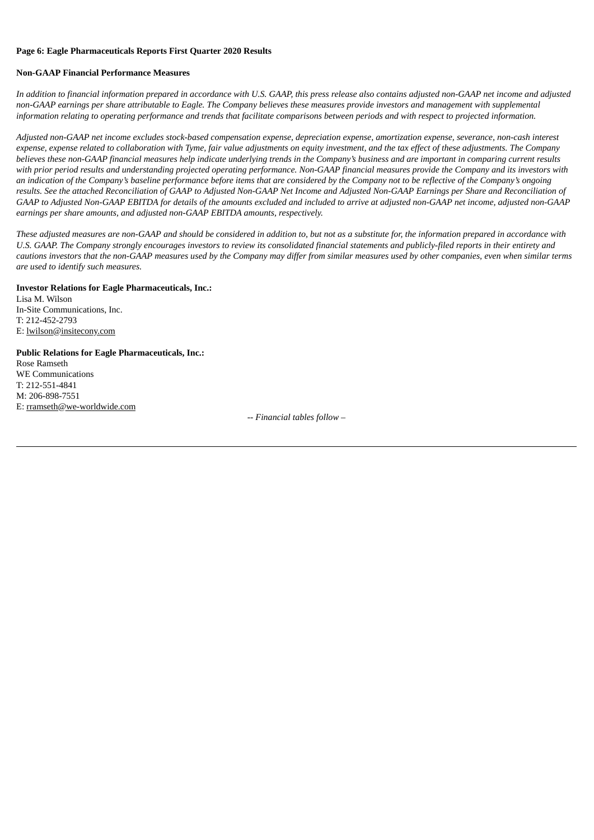#### **Page 6: Eagle Pharmaceuticals Reports First Quarter 2020 Results**

#### **Non-GAAP Financial Performance Measures**

In addition to financial information prepared in accordance with U.S. GAAP, this press release also contains adjusted non-GAAP net income and adjusted non-GAAP earnings per share attributable to Eagle. The Company believes these measures provide investors and management with supplemental information relating to operating performance and trends that facilitate comparisons between periods and with respect to projected information.

Adjusted non-GAAP net income excludes stock-based compensation expense, depreciation expense, amortization expense, severance, non-cash interest expense, expense related to collaboration with Tyme, fair value adjustments on equity investment, and the tax effect of these adjustments. The Company believes these non-GAAP financial measures help indicate underlying trends in the Company's business and are important in comparing current results with prior period results and understanding projected operating performance. Non-GAAP financial measures provide the Company and its investors with an indication of the Company's baseline performance before items that are considered by the Company not to be reflective of the Company's ongoing results. See the attached Reconciliation of GAAP to Adjusted Non-GAAP Net Income and Adjusted Non-GAAP Earnings per Share and Reconciliation of GAAP to Adjusted Non-GAAP EBITDA for details of the amounts excluded and included to arrive at adjusted non-GAAP net income, adjusted non-GAAP *earnings per share amounts, and adjusted non-GAAP EBITDA amounts, respectively.*

These adjusted measures are non-GAAP and should be considered in addition to, but not as a substitute for, the information prepared in accordance with U.S. GAAP. The Company strongly encourages investors to review its consolidated financial statements and publicly-filed reports in their entirety and cautions investors that the non-GAAP measures used by the Company may differ from similar measures used by other companies, even when similar terms *are used to identify such measures.*

# **Investor Relations for Eagle Pharmaceuticals, Inc.:**

Lisa M. Wilson In-Site Communications, Inc. T: 212-452-2793 E: lwilson@insitecony.com

# **Public Relations for Eagle Pharmaceuticals, Inc.:** Rose Ramseth WE Communications T: 212-551-4841 M: 206-898-7551 E: rramseth@we-worldwide.com

*-- Financial tables follow –*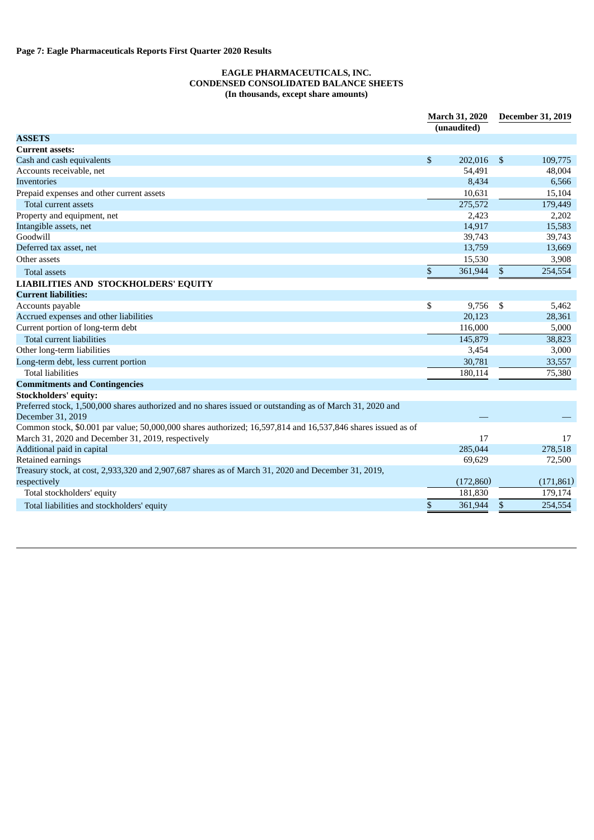# **EAGLE PHARMACEUTICALS, INC. CONDENSED CONSOLIDATED BALANCE SHEETS (In thousands, except share amounts)**

|                                                                                                              | <b>March 31, 2020</b> |             |                | <b>December 31, 2019</b> |  |
|--------------------------------------------------------------------------------------------------------------|-----------------------|-------------|----------------|--------------------------|--|
|                                                                                                              |                       | (unaudited) |                |                          |  |
| <b>ASSETS</b>                                                                                                |                       |             |                |                          |  |
| <b>Current assets:</b>                                                                                       |                       |             |                |                          |  |
| Cash and cash equivalents                                                                                    | \$                    | 202,016     | $\mathfrak{S}$ | 109,775                  |  |
| Accounts receivable, net                                                                                     |                       | 54,491      |                | 48,004                   |  |
| <b>Inventories</b>                                                                                           |                       | 8,434       |                | 6,566                    |  |
| Prepaid expenses and other current assets                                                                    |                       | 10,631      |                | 15,104                   |  |
| Total current assets                                                                                         |                       | 275,572     |                | 179,449                  |  |
| Property and equipment, net                                                                                  |                       | 2,423       |                | 2,202                    |  |
| Intangible assets, net                                                                                       |                       | 14,917      |                | 15,583                   |  |
| Goodwill                                                                                                     |                       | 39,743      |                | 39,743                   |  |
| Deferred tax asset, net                                                                                      |                       | 13,759      |                | 13,669                   |  |
| Other assets                                                                                                 |                       | 15,530      |                | 3,908                    |  |
| <b>Total assets</b>                                                                                          | \$                    | 361,944     | \$             | 254,554                  |  |
| LIABILITIES AND STOCKHOLDERS' EQUITY                                                                         |                       |             |                |                          |  |
| <b>Current liabilities:</b>                                                                                  |                       |             |                |                          |  |
| Accounts payable                                                                                             | \$                    | 9,756       | \$             | 5,462                    |  |
| Accrued expenses and other liabilities                                                                       |                       | 20,123      |                | 28,361                   |  |
| Current portion of long-term debt                                                                            |                       | 116,000     |                | 5,000                    |  |
| Total current liabilities                                                                                    |                       | 145,879     |                | 38,823                   |  |
| Other long-term liabilities                                                                                  |                       | 3,454       |                | 3,000                    |  |
| Long-term debt, less current portion                                                                         |                       | 30,781      |                | 33,557                   |  |
| <b>Total liabilities</b>                                                                                     |                       | 180,114     |                | 75,380                   |  |
| <b>Commitments and Contingencies</b>                                                                         |                       |             |                |                          |  |
| <b>Stockholders' equity:</b>                                                                                 |                       |             |                |                          |  |
| Preferred stock, 1,500,000 shares authorized and no shares issued or outstanding as of March 31, 2020 and    |                       |             |                |                          |  |
| December 31, 2019                                                                                            |                       |             |                |                          |  |
| Common stock, \$0.001 par value; 50,000,000 shares authorized; 16,597,814 and 16,537,846 shares issued as of |                       |             |                |                          |  |
| March 31, 2020 and December 31, 2019, respectively                                                           |                       | 17          |                | 17                       |  |
| Additional paid in capital                                                                                   |                       | 285,044     |                | 278,518                  |  |
| Retained earnings                                                                                            |                       | 69,629      |                | 72,500                   |  |
| Treasury stock, at cost, 2,933,320 and 2,907,687 shares as of March 31, 2020 and December 31, 2019,          |                       |             |                |                          |  |
| respectively                                                                                                 |                       | (172,860)   |                | (171, 861)               |  |
| Total stockholders' equity                                                                                   |                       | 181,830     |                | 179,174                  |  |
| Total liabilities and stockholders' equity                                                                   | \$                    | 361,944     | \$             | 254,554                  |  |
|                                                                                                              |                       |             |                |                          |  |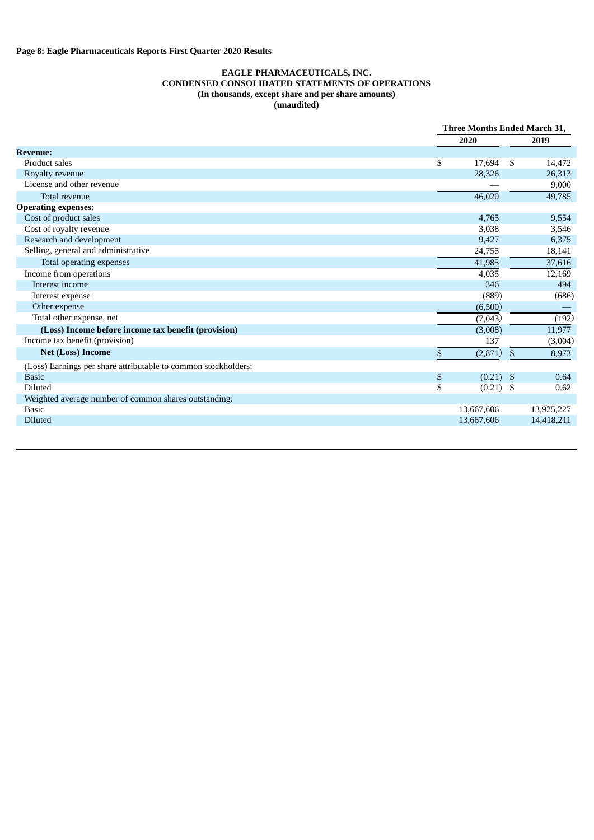# **EAGLE PHARMACEUTICALS, INC. CONDENSED CONSOLIDATED STATEMENTS OF OPERATIONS (In thousands, except share and per share amounts) (unaudited)**

|                                                                | Three Months Ended March 31, |              |            |
|----------------------------------------------------------------|------------------------------|--------------|------------|
|                                                                | 2020                         |              | 2019       |
| <b>Revenue:</b>                                                |                              |              |            |
| Product sales                                                  | \$<br>17,694                 | -S           | 14,472     |
| Royalty revenue                                                | 28,326                       |              | 26,313     |
| License and other revenue                                      |                              |              | 9,000      |
| Total revenue                                                  | 46,020                       |              | 49,785     |
| <b>Operating expenses:</b>                                     |                              |              |            |
| Cost of product sales                                          | 4,765                        |              | 9,554      |
| Cost of royalty revenue                                        | 3,038                        |              | 3,546      |
| Research and development                                       | 9,427                        |              | 6,375      |
| Selling, general and administrative                            | 24,755                       |              | 18,141     |
| Total operating expenses                                       | 41,985                       |              | 37,616     |
| Income from operations                                         | 4,035                        |              | 12,169     |
| Interest income                                                | 346                          |              | 494        |
| Interest expense                                               | (889)                        |              | (686)      |
| Other expense                                                  | (6,500)                      |              |            |
| Total other expense, net                                       | (7,043)                      |              | (192)      |
| (Loss) Income before income tax benefit (provision)            | (3,008)                      |              | 11,977     |
| Income tax benefit (provision)                                 | 137                          |              | (3,004)    |
| <b>Net (Loss) Income</b>                                       | \$<br>(2,871)                | $\mathbb{S}$ | 8,973      |
| (Loss) Earnings per share attributable to common stockholders: |                              |              |            |
| <b>Basic</b>                                                   | \$<br>(0.21)                 | -\$          | 0.64       |
| Diluted                                                        | \$<br>$(0.21)$ \$            |              | 0.62       |
| Weighted average number of common shares outstanding:          |                              |              |            |
| <b>Basic</b>                                                   | 13,667,606                   |              | 13,925,227 |
| <b>Diluted</b>                                                 | 13,667,606                   |              | 14,418,211 |
|                                                                |                              |              |            |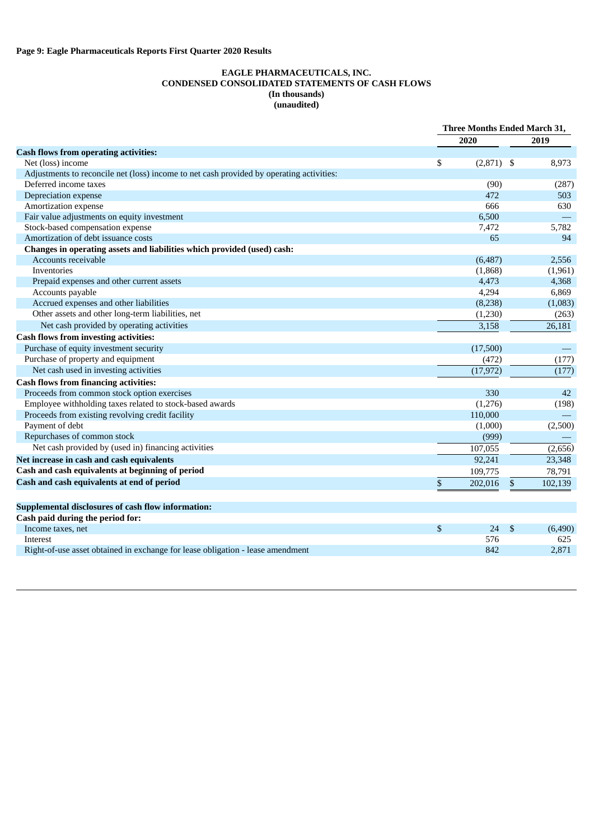# **EAGLE PHARMACEUTICALS, INC. CONDENSED CONSOLIDATED STATEMENTS OF CASH FLOWS (In thousands) (unaudited)**

|                                                                                          | Three Months Ended March 31, |           |                |         |
|------------------------------------------------------------------------------------------|------------------------------|-----------|----------------|---------|
|                                                                                          |                              | 2020      |                | 2019    |
| <b>Cash flows from operating activities:</b>                                             |                              |           |                |         |
| Net (loss) income                                                                        | \$                           | (2,871)   | - \$           | 8,973   |
| Adjustments to reconcile net (loss) income to net cash provided by operating activities: |                              |           |                |         |
| Deferred income taxes                                                                    |                              | (90)      |                | (287)   |
| Depreciation expense                                                                     |                              | 472       |                | 503     |
| Amortization expense                                                                     |                              | 666       |                | 630     |
| Fair value adjustments on equity investment                                              |                              | 6,500     |                |         |
| Stock-based compensation expense                                                         |                              | 7,472     |                | 5,782   |
| Amortization of debt issuance costs                                                      |                              | 65        |                | 94      |
| Changes in operating assets and liabilities which provided (used) cash:                  |                              |           |                |         |
| Accounts receivable                                                                      |                              | (6, 487)  |                | 2,556   |
| <b>Inventories</b>                                                                       |                              | (1,868)   |                | (1,961) |
| Prepaid expenses and other current assets                                                |                              | 4,473     |                | 4,368   |
| Accounts payable                                                                         |                              | 4,294     |                | 6,869   |
| Accrued expenses and other liabilities                                                   |                              | (8,238)   |                | (1,083) |
| Other assets and other long-term liabilities, net                                        |                              | (1,230)   |                | (263)   |
| Net cash provided by operating activities                                                |                              | 3,158     |                | 26,181  |
| <b>Cash flows from investing activities:</b>                                             |                              |           |                |         |
| Purchase of equity investment security                                                   |                              | (17,500)  |                |         |
| Purchase of property and equipment                                                       |                              | (472)     |                | (177)   |
| Net cash used in investing activities                                                    |                              | (17, 972) |                | (177)   |
| <b>Cash flows from financing activities:</b>                                             |                              |           |                |         |
| Proceeds from common stock option exercises                                              |                              | 330       |                | 42      |
| Employee withholding taxes related to stock-based awards                                 |                              | (1,276)   |                | (198)   |
| Proceeds from existing revolving credit facility                                         |                              | 110,000   |                |         |
| Payment of debt                                                                          |                              | (1,000)   |                | (2,500) |
| Repurchases of common stock                                                              |                              | (999)     |                |         |
| Net cash provided by (used in) financing activities                                      |                              | 107,055   |                | (2,656) |
| Net increase in cash and cash equivalents                                                |                              | 92,241    |                | 23,348  |
| Cash and cash equivalents at beginning of period                                         |                              | 109,775   |                | 78,791  |
| Cash and cash equivalents at end of period                                               | $\$$                         | 202,016   | $\mathfrak{s}$ | 102,139 |
|                                                                                          |                              |           |                |         |
| Supplemental disclosures of cash flow information:                                       |                              |           |                |         |
| Cash paid during the period for:                                                         |                              |           |                |         |
| Income taxes, net                                                                        | \$                           | 24        | \$             | (6,490) |
| Interest                                                                                 |                              | 576       |                | 625     |
| Right-of-use asset obtained in exchange for lease obligation - lease amendment           |                              | 842       |                | 2,871   |
|                                                                                          |                              |           |                |         |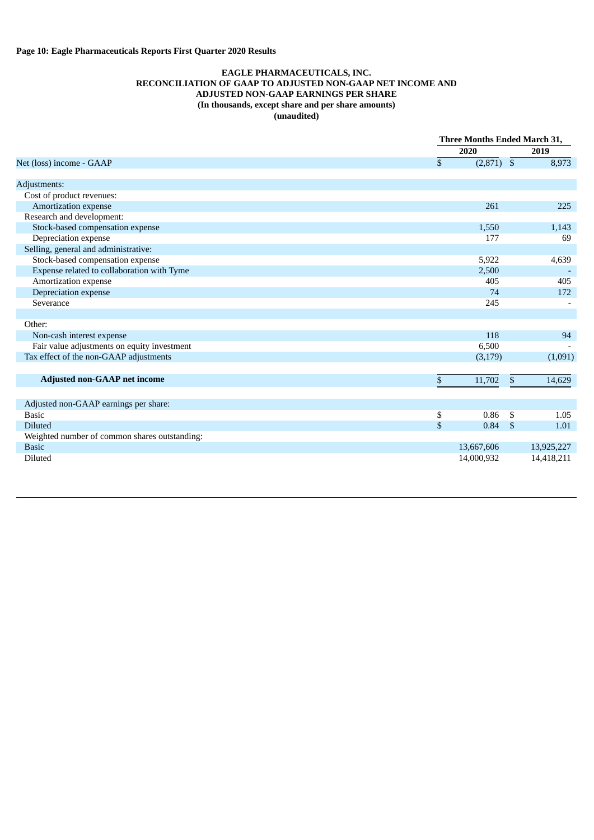### **EAGLE PHARMACEUTICALS, INC. RECONCILIATION OF GAAP TO ADJUSTED NON-GAAP NET INCOME AND ADJUSTED NON-GAAP EARNINGS PER SHARE (In thousands, except share and per share amounts) (unaudited)**

|                                               |                | Three Months Ended March 31, |            |  |
|-----------------------------------------------|----------------|------------------------------|------------|--|
|                                               | 2020           |                              | 2019       |  |
| Net (loss) income - GAAP                      | $\mathbb{S}$   | $(2,871)$ \$                 | 8,973      |  |
|                                               |                |                              |            |  |
| Adjustments:                                  |                |                              |            |  |
| Cost of product revenues:                     |                |                              |            |  |
| Amortization expense                          |                | 261                          | 225        |  |
| Research and development:                     |                |                              |            |  |
| Stock-based compensation expense              |                | 1,550                        | 1,143      |  |
| Depreciation expense                          |                | 177                          | 69         |  |
| Selling, general and administrative:          |                |                              |            |  |
| Stock-based compensation expense              |                | 5,922                        | 4,639      |  |
| Expense related to collaboration with Tyme    |                | 2,500                        |            |  |
| Amortization expense                          |                | 405                          | 405        |  |
| Depreciation expense                          |                | 74                           | 172        |  |
| Severance                                     |                | 245                          |            |  |
|                                               |                |                              |            |  |
| Other:                                        |                |                              |            |  |
| Non-cash interest expense                     |                | 118                          | 94         |  |
| Fair value adjustments on equity investment   |                | 6,500                        |            |  |
| Tax effect of the non-GAAP adjustments        |                | (3, 179)                     | (1,091)    |  |
|                                               |                |                              |            |  |
| <b>Adjusted non-GAAP net income</b>           | \$             | 11,702<br>\$                 | 14,629     |  |
|                                               |                |                              |            |  |
| Adjusted non-GAAP earnings per share:         |                |                              |            |  |
| <b>Basic</b>                                  | \$             | 0.86<br>S.                   | 1.05       |  |
| <b>Diluted</b>                                | $\mathfrak{S}$ | 0.84<br><sup>S</sup>         | 1.01       |  |
| Weighted number of common shares outstanding: |                |                              |            |  |
| <b>Basic</b>                                  | 13,667,606     |                              | 13,925,227 |  |
| <b>Diluted</b>                                | 14,000,932     |                              | 14,418,211 |  |
|                                               |                |                              |            |  |